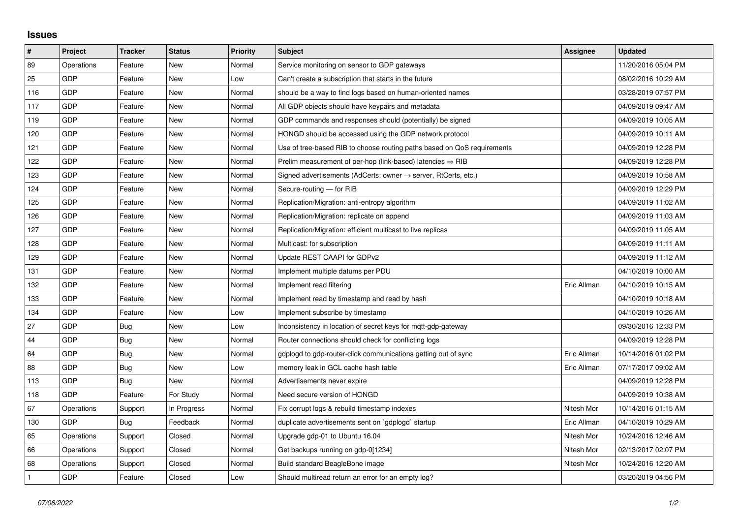## **Issues**

| #   | Project    | <b>Tracker</b> | <b>Status</b> | <b>Priority</b> | <b>Subject</b>                                                             | <b>Assignee</b> | <b>Updated</b>      |
|-----|------------|----------------|---------------|-----------------|----------------------------------------------------------------------------|-----------------|---------------------|
| 89  | Operations | Feature        | New           | Normal          | Service monitoring on sensor to GDP gateways                               |                 | 11/20/2016 05:04 PM |
| 25  | GDP        | Feature        | New           | Low             | Can't create a subscription that starts in the future                      |                 | 08/02/2016 10:29 AM |
| 116 | GDP        | Feature        | New           | Normal          | should be a way to find logs based on human-oriented names                 |                 | 03/28/2019 07:57 PM |
| 117 | <b>GDP</b> | Feature        | <b>New</b>    | Normal          | All GDP objects should have keypairs and metadata                          |                 | 04/09/2019 09:47 AM |
| 119 | <b>GDP</b> | Feature        | New           | Normal          | GDP commands and responses should (potentially) be signed                  |                 | 04/09/2019 10:05 AM |
| 120 | GDP        | Feature        | New           | Normal          | HONGD should be accessed using the GDP network protocol                    |                 | 04/09/2019 10:11 AM |
| 121 | <b>GDP</b> | Feature        | New           | Normal          | Use of tree-based RIB to choose routing paths based on QoS requirements    |                 | 04/09/2019 12:28 PM |
| 122 | <b>GDP</b> | Feature        | New           | Normal          | Prelim measurement of per-hop (link-based) latencies $\Rightarrow$ RIB     |                 | 04/09/2019 12:28 PM |
| 123 | <b>GDP</b> | Feature        | New           | Normal          | Signed advertisements (AdCerts: owner $\rightarrow$ server, RtCerts, etc.) |                 | 04/09/2019 10:58 AM |
| 124 | <b>GDP</b> | Feature        | New           | Normal          | Secure-routing - for RIB                                                   |                 | 04/09/2019 12:29 PM |
| 125 | GDP        | Feature        | New           | Normal          | Replication/Migration: anti-entropy algorithm                              |                 | 04/09/2019 11:02 AM |
| 126 | <b>GDP</b> | Feature        | New           | Normal          | Replication/Migration: replicate on append                                 |                 | 04/09/2019 11:03 AM |
| 127 | <b>GDP</b> | Feature        | New           | Normal          | Replication/Migration: efficient multicast to live replicas                |                 | 04/09/2019 11:05 AM |
| 128 | GDP        | Feature        | New           | Normal          | Multicast: for subscription                                                |                 | 04/09/2019 11:11 AM |
| 129 | <b>GDP</b> | Feature        | New           | Normal          | Update REST CAAPI for GDPv2                                                |                 | 04/09/2019 11:12 AM |
| 131 | <b>GDP</b> | Feature        | <b>New</b>    | Normal          | Implement multiple datums per PDU                                          |                 | 04/10/2019 10:00 AM |
| 132 | GDP        | Feature        | New           | Normal          | Implement read filtering                                                   | Eric Allman     | 04/10/2019 10:15 AM |
| 133 | <b>GDP</b> | Feature        | New           | Normal          | Implement read by timestamp and read by hash                               |                 | 04/10/2019 10:18 AM |
| 134 | <b>GDP</b> | Feature        | <b>New</b>    | Low             | Implement subscribe by timestamp                                           |                 | 04/10/2019 10:26 AM |
| 27  | GDP        | <b>Bug</b>     | New           | Low             | Inconsistency in location of secret keys for mgtt-gdp-gateway              |                 | 09/30/2016 12:33 PM |
| 44  | GDP        | Bug            | New           | Normal          | Router connections should check for conflicting logs                       |                 | 04/09/2019 12:28 PM |
| 64  | GDP        | <b>Bug</b>     | <b>New</b>    | Normal          | gdplogd to gdp-router-click communications getting out of sync             | Eric Allman     | 10/14/2016 01:02 PM |
| 88  | GDP        | Bug            | New           | Low             | memory leak in GCL cache hash table                                        | Eric Allman     | 07/17/2017 09:02 AM |
| 113 | <b>GDP</b> | Bug            | New           | Normal          | Advertisements never expire                                                |                 | 04/09/2019 12:28 PM |
| 118 | <b>GDP</b> | Feature        | For Study     | Normal          | Need secure version of HONGD                                               |                 | 04/09/2019 10:38 AM |
| 67  | Operations | Support        | In Progress   | Normal          | Fix corrupt logs & rebuild timestamp indexes                               | Nitesh Mor      | 10/14/2016 01:15 AM |
| 130 | <b>GDP</b> | Bug            | Feedback      | Normal          | duplicate advertisements sent on `gdplogd` startup                         | Eric Allman     | 04/10/2019 10:29 AM |
| 65  | Operations | Support        | Closed        | Normal          | Upgrade gdp-01 to Ubuntu 16.04                                             | Nitesh Mor      | 10/24/2016 12:46 AM |
| 66  | Operations | Support        | Closed        | Normal          | Get backups running on gdp-0[1234]                                         | Nitesh Mor      | 02/13/2017 02:07 PM |
| 68  | Operations | Support        | Closed        | Normal          | Build standard BeagleBone image                                            | Nitesh Mor      | 10/24/2016 12:20 AM |
|     | GDP        | Feature        | Closed        | Low             | Should multiread return an error for an empty log?                         |                 | 03/20/2019 04:56 PM |